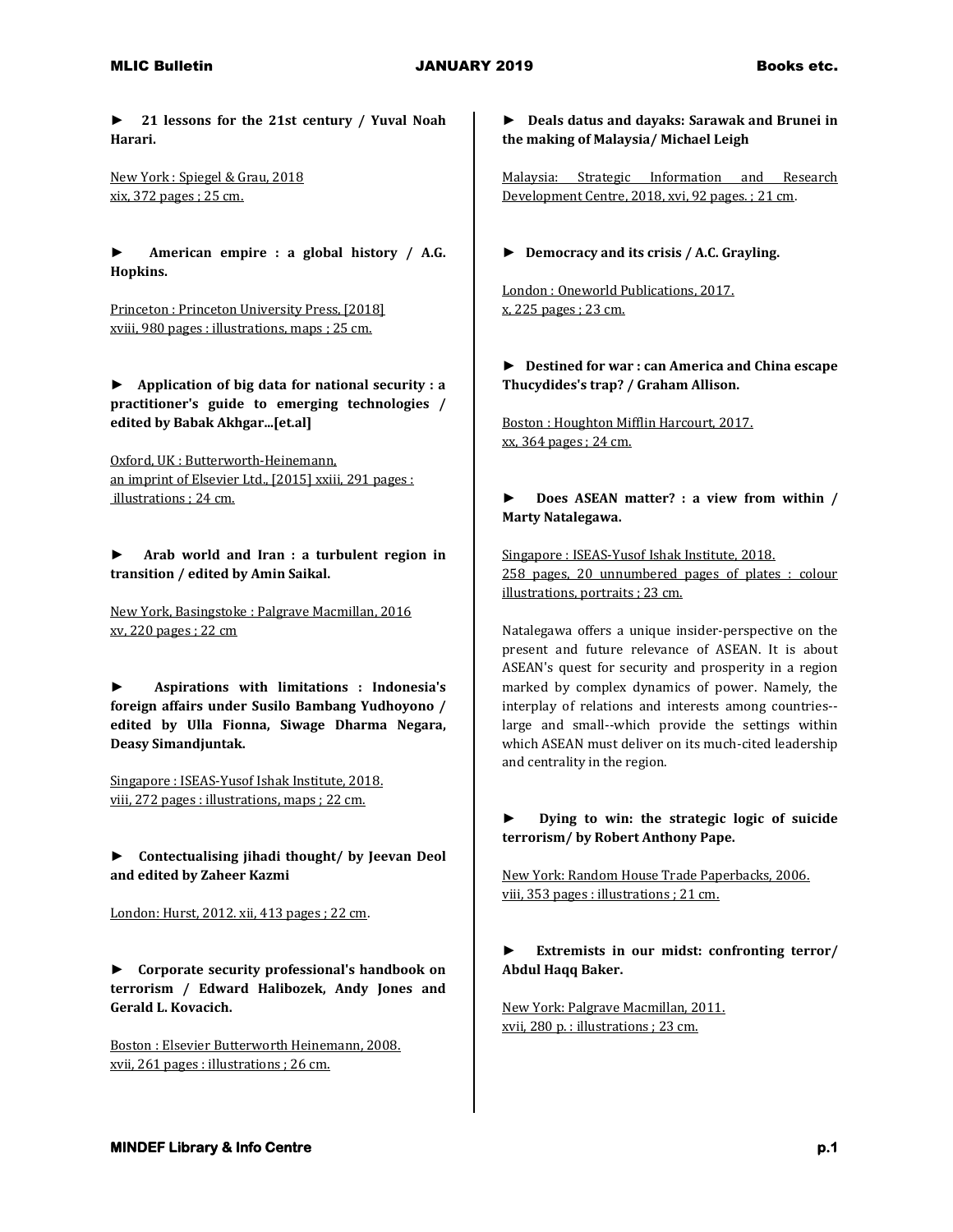## MLIC Bulletin JANUARY 2019 Books etc.

**► 21 lessons for the 21st century / Yuval Noah Harari.**

New York : Spiegel & Grau, 2018 xix, 372 pages ; 25 cm.

**► American empire : a global history / A.G. Hopkins.**

Princeton : Princeton University Press, [2018] xviii, 980 pages : illustrations, maps ; 25 cm.

**► Application of big data for national security : a practitioner's guide to emerging technologies / edited by Babak Akhgar...[et.al]**

Oxford, UK : Butterworth-Heinemann, an imprint of Elsevier Ltd., [2015] xxiii, 291 pages : illustrations ; 24 cm.

**► Arab world and Iran : a turbulent region in transition / edited by Amin Saikal.**

New York, Basingstoke : Palgrave Macmillan, 2016 xv, 220 pages ; 22 cm

**► Aspirations with limitations : Indonesia's foreign affairs under Susilo Bambang Yudhoyono / edited by Ulla Fionna, Siwage Dharma Negara, Deasy Simandjuntak.**

Singapore : ISEAS-Yusof Ishak Institute, 2018. viii, 272 pages : illustrations, maps ; 22 cm.

► **Contectualising jihadi thought/ by Jeevan Deol and edited by Zaheer Kazmi**

London: Hurst, 2012. xii, 413 pages ; 22 cm.

**► Corporate security professional's handbook on terrorism / Edward Halibozek, Andy Jones and Gerald L. Kovacich.**

Boston : Elsevier Butterworth Heinemann, 2008. xvii, 261 pages : illustrations ; 26 cm.

**► Deals datus and dayaks: Sarawak and Brunei in the making of Malaysia/ Michael Leigh**

Malaysia: Strategic Information and Research Development Centre, 2018, xvi, 92 pages. ; 21 cm.

**► Democracy and its crisis / A.C. Grayling.**

London : Oneworld Publications, 2017. x, 225 pages ; 23 cm.

**► Destined for war : can America and China escape Thucydides's trap? / Graham Allison.**

Boston : Houghton Mifflin Harcourt, 2017. xx, 364 pages ; 24 cm.

**► Does ASEAN matter? : a view from within / Marty Natalegawa.**

Singapore : ISEAS-Yusof Ishak Institute, 2018. 258 pages, 20 unnumbered pages of plates : colour illustrations, portraits ; 23 cm.

Natalegawa offers a unique insider-perspective on the present and future relevance of ASEAN. It is about ASEAN's quest for security and prosperity in a region marked by complex dynamics of power. Namely, the interplay of relations and interests among countries- large and small--which provide the settings within which ASEAN must deliver on its much-cited leadership and centrality in the region.

**► Dying to win: the strategic logic of suicide terrorism/ by Robert Anthony Pape.**

New York: Random House Trade Paperbacks, 2006. viii, 353 pages : illustrations ; 21 cm.

**► Extremists in our midst: confronting terror/ Abdul Haqq Baker.**

New York: Palgrave Macmillan, 2011. xvii, 280 p. : illustrations ; 23 cm.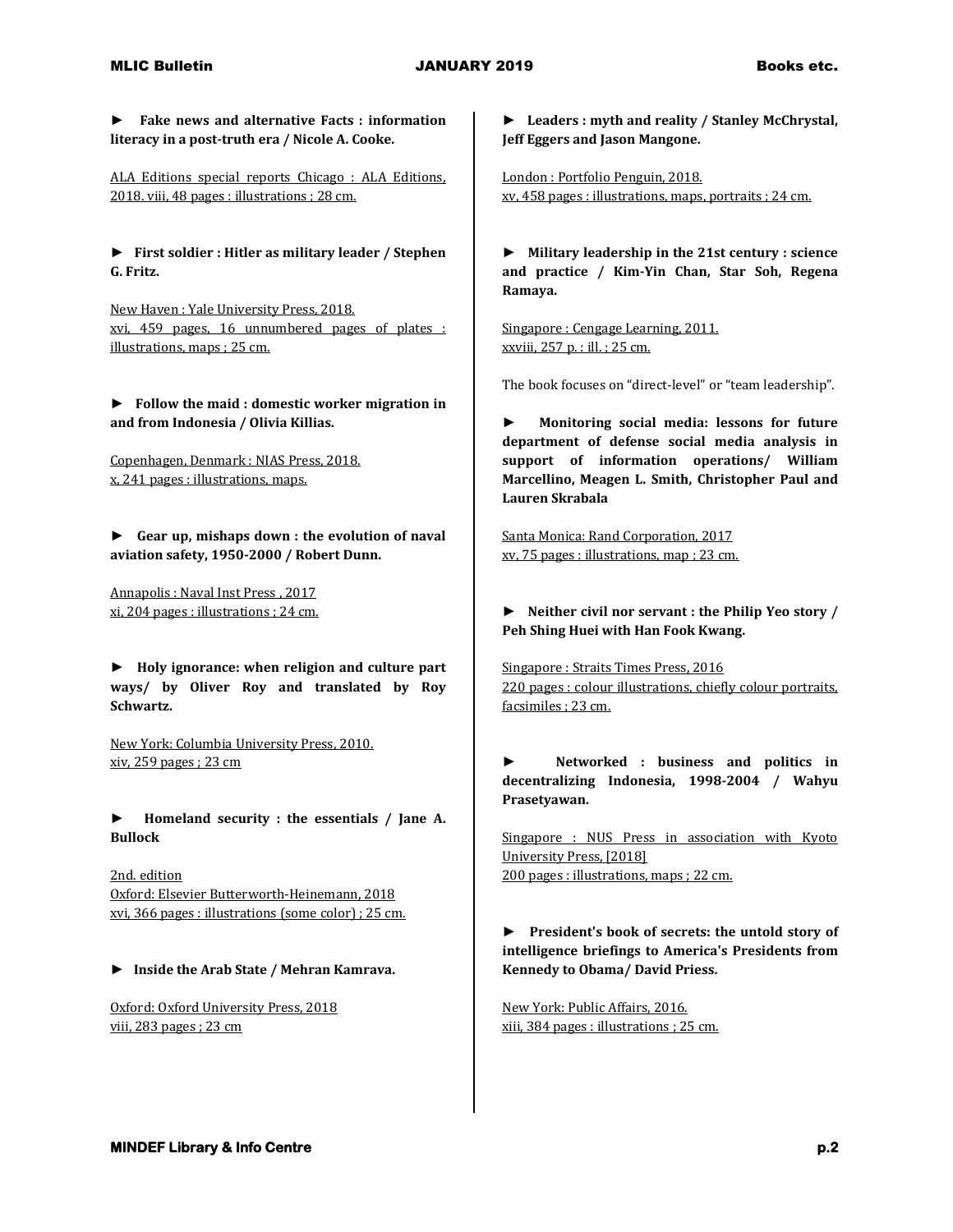**► Fake news and alternative Facts : information literacy in a post-truth era / Nicole A. Cooke.**

ALA Editions special reports Chicago : ALA Editions, 2018. viii, 48 pages : illustrations ; 28 cm.

**► First soldier : Hitler as military leader / Stephen G. Fritz.**

New Haven : Yale University Press, 2018. xvi, 459 pages, 16 unnumbered pages of plates : illustrations, maps ; 25 cm.

**► Follow the maid : domestic worker migration in and from Indonesia / Olivia Killias.**

Copenhagen, Denmark : NIAS Press, 2018. x, 241 pages : illustrations, maps.

**► Gear up, mishaps down : the evolution of naval aviation safety, 1950-2000 / Robert Dunn.**

Annapolis : Naval Inst Press , 2017 xi, 204 pages : illustrations ; 24 cm.

**► Holy ignorance: when religion and culture part ways/ by Oliver Roy and translated by Roy Schwartz.**

New York: Columbia University Press, 2010. xiv, 259 pages ; 23 cm

**► Homeland security : the essentials / Jane A. Bullock**

2nd. edition Oxford: Elsevier Butterworth-Heinemann, 2018 xvi, 366 pages : illustrations (some color) ; 25 cm.

**► Inside the Arab State / Mehran Kamrava.**

Oxford: Oxford University Press, 2018 viii, 283 pages ; 23 cm

**► Leaders : myth and reality / Stanley McChrystal, Jeff Eggers and Jason Mangone.**

London : Portfolio Penguin, 2018. xv, 458 pages : illustrations, maps, portraits ; 24 cm.

**► Military leadership in the 21st century : science and practice / Kim-Yin Chan, Star Soh, Regena Ramaya.**

Singapore : Cengage Learning, 2011. xxviii, 257 p. : ill. ; 25 cm.

The book focuses on "direct-level" or "team leadership".

**► Monitoring social media: lessons for future department of defense social media analysis in support of information operations/ William Marcellino, Meagen L. Smith, Christopher Paul and Lauren Skrabala**

Santa Monica: Rand Corporation, 2017 xv, 75 pages : illustrations, map ; 23 cm.

**► Neither civil nor servant : the Philip Yeo story / Peh Shing Huei with Han Fook Kwang.**

Singapore : Straits Times Press, 2016 220 pages : colour illustrations, chiefly colour portraits, facsimiles ; 23 cm.

**► Networked : business and politics in decentralizing Indonesia, 1998-2004 / Wahyu Prasetyawan.**

Singapore : NUS Press in association with Kyoto University Press, [2018] 200 pages : illustrations, maps ; 22 cm.

**► President's book of secrets: the untold story of intelligence briefings to America's Presidents from Kennedy to Obama/ David Priess.**

New York: Public Affairs, 2016. xiii, 384 pages : illustrations ; 25 cm.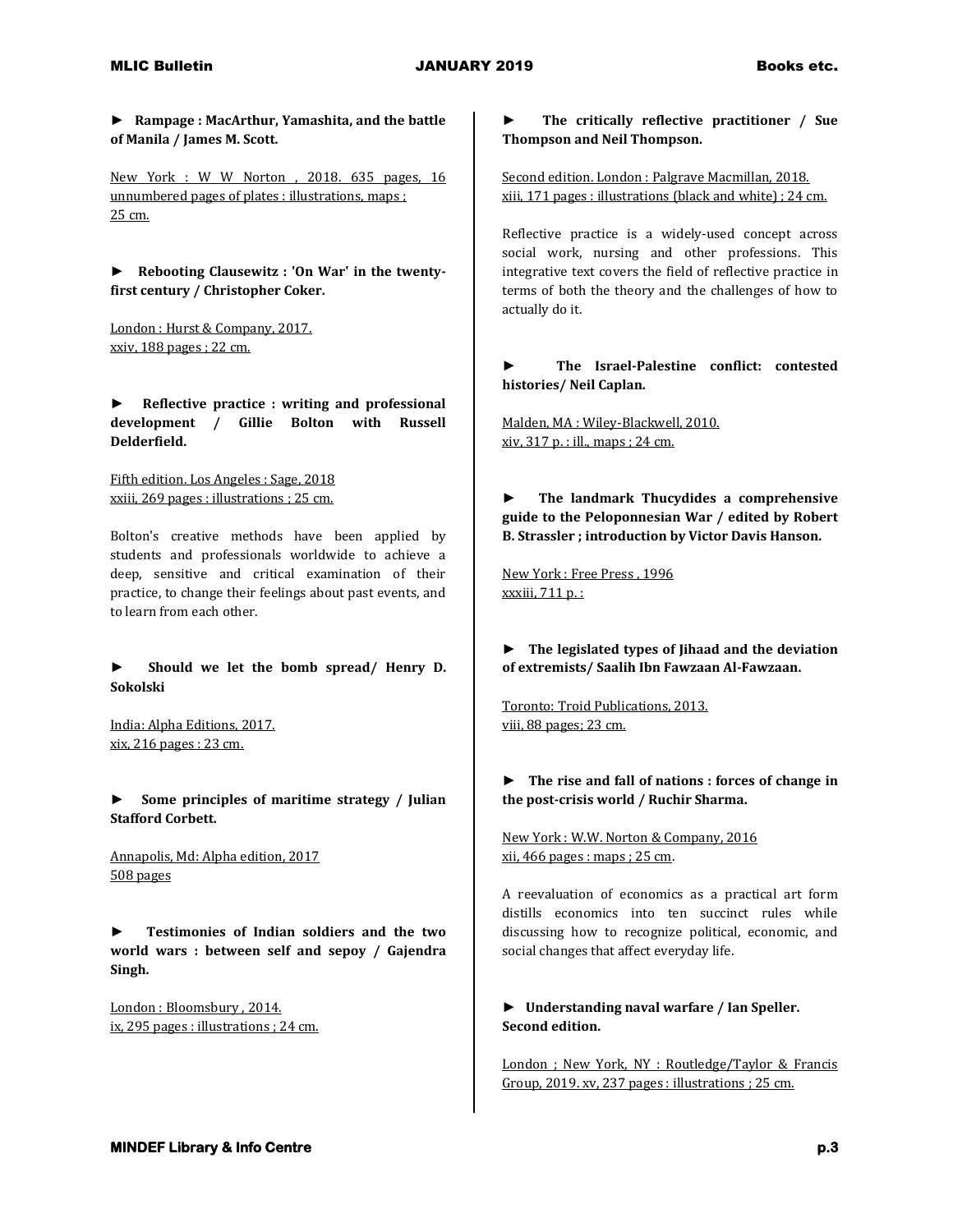**► Rampage : MacArthur, Yamashita, and the battle of Manila / James M. Scott.**

New York : W W Norton , 2018. 635 pages, 16 unnumbered pages of plates : illustrations, maps ; 25 cm.

**► Rebooting Clausewitz : 'On War' in the twentyfirst century / Christopher Coker.**

London : Hurst & Company, 2017. xxiv, 188 pages ; 22 cm.

**► Reflective practice : writing and professional development / Gillie Bolton with Russell Delderfield.**

Fifth edition. Los Angeles : Sage, 2018 xxiii, 269 pages : illustrations ; 25 cm.

Bolton's creative methods have been applied by students and professionals worldwide to achieve a deep, sensitive and critical examination of their practice, to change their feelings about past events, and to learn from each other.

**► Should we let the bomb spread/ Henry D. Sokolski**

India: Alpha Editions, 2017. xix, 216 pages : 23 cm.

**► Some principles of maritime strategy / Julian Stafford Corbett.**

Annapolis, Md: Alpha edition, 2017 508 pages

**► Testimonies of Indian soldiers and the two world wars : between self and sepoy / Gajendra Singh.**

London : Bloomsbury , 2014. ix, 295 pages : illustrations ; 24 cm.

**► The critically reflective practitioner / Sue Thompson and Neil Thompson.**

Second edition. London : Palgrave Macmillan, 2018. xiii, 171 pages : illustrations (black and white) ; 24 cm.

Reflective practice is a widely-used concept across social work, nursing and other professions. This integrative text covers the field of reflective practice in terms of both the theory and the challenges of how to actually do it.

**► The Israel-Palestine conflict: contested histories/ Neil Caplan.**

Malden, MA : Wiley-Blackwell, 2010. xiv, 317 p. : ill., maps ; 24 cm.

**► The landmark Thucydides a comprehensive guide to the Peloponnesian War / edited by Robert B. Strassler ; introduction by Victor Davis Hanson.**

New York : Free Press , 1996 xxxiii, 711 p. :

**► The legislated types of Jihaad and the deviation of extremists/ Saalih Ibn Fawzaan Al-Fawzaan.**

Toronto: Troid Publications, 2013. viii, 88 pages; 23 cm.

**► The rise and fall of nations : forces of change in the post-crisis world / Ruchir Sharma.**

New York : W.W. Norton & Company, 2016 xii, 466 pages : maps ; 25 cm.

A reevaluation of economics as a practical art form distills economics into ten succinct rules while discussing how to recognize political, economic, and social changes that affect everyday life.

**► Understanding naval warfare / Ian Speller. Second edition.**

London ; New York, NY : Routledge/Taylor & Francis Group, 2019. xv, 237 pages : illustrations ; 25 cm.